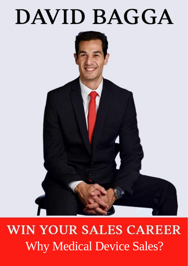# DAVID BAGGA



WIN YOUR SALES CAREER Why Medical Device Sales?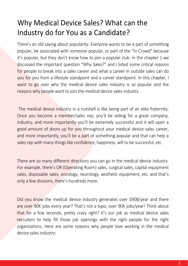## Why Medical Device Sales? What can the Industry do for You as a Candidate?

There's an old saying about popularity. Everyone wants to be a part of something popular, be associated with someone popular, or part of the "In Crowd" because it's popular, but they don't know how to join a popular club. In the chapter 1 we discussed the important question "Why Sales?" and I listed some critical reasons for people to break into a sales career and what a career in outside sales can do you for you from a lifestyle standpoint and a career standpoint. In this chapter, I want to go over why the medical device sales industry is so popular and the reasons why people want to join the medical device sales industry.

The medical device industry in a nutshell is like being part of an elite fraternity: Once you become a member/sales rep, you'll be selling for a great company, industry, and more importantly you'll be extremely successful and it will open a good amount of doors up for you throughout your medical device sales career, and more importantly, you'll be a part of something popular and that can help a sales rep with many things like confidence, happiness, will to be successful, etc.

There are so many different directions you can go in the medical device industry. For example, there's OR (Operating Room) sales, surgical sales, capital equipment sales, disposable sales, oncology, neurology, aesthetic equipment, etc. and that's only a few divisions, there's hundreds more.

Did you know the medical device industry generates over \$90B/year and there are over 90K jobs every year? That's not a typo, over 90K jobs/year! Think about that for a few seconds, pretty crazy right? It's our job as medical device sales recruiters to help fill those job openings with the right people for the right organizations. Here are some reasons why people love working in the medical device sales industry: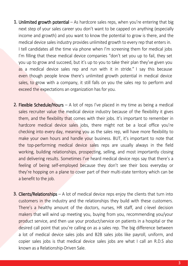- 1. Unlimited growth potential  $-$  As hardcore sales reps, when you're entering that big next step of your sales career you don't want to be capped on anything (especially income and growth) and you want to know the potential to grow is there, and the medical device sales industry provides unlimited growth to every rep that enters in. I tell candidates all the time via phone when I'm screening them for medical jobs I'm filling that these medical device companies "don't set you up to fail, they set you up to grow and succeed, but it's up to you to take their plan they've given you as a medical device sales rep and run with it in stride." I say this because even though people know there's unlimited growth potential in medical device sales, to grow with a company, it still falls on you the sales rep to perform and exceed the expectations an organization has for you.
- **2. Flexible Schedule/Hours**  $A$  lot of reps I've placed in my time as being a medical sales recruiter value the medical device industry because of the flexibility it gives them, and the flexibility that comes with their jobs. It's important to remember in hardcore medical device sales jobs, there might not be a local office you're checking into every day, meaning you as the sales rep, will have more flexibility to make your own hours and handle your business. BUT, it's important to note that the top-performing medical device sales reps are usually always in the field working, building relationships, prospecting, selling, and most importantly closing and delivering results. Sometimes I've heard medical device reps say that there's a feeling of being self-employed because they don't see their boss everyday or they're hopping on a plane to cover part of their multi-state territory which can be a benefit to the job.
- 3. Clients/Relationships  $A$  lot of medical device reps enjoy the clients that turn into customers in the industry and the relationships they build with these customers. There's a healthy amount of the doctors, nurses, HR staff, and c-level decision makers that will wind up meeting you, buying from you, recommending you/your product service, and then use your product/service on patients in a hospital or the desired call point that you're calling on as a sales rep. The big difference between a lot of medical device sales jobs and B2B sales jobs like payroll, uniform, and copier sales jobs is that medical device sales jobs are what I call an R.D.S also known as a Relationship-Driven Sale.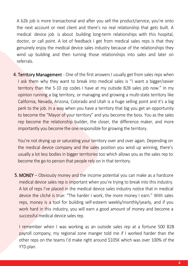A b2b job is more transactional and after you sell the product/service, you're onto the next account or next client and there's no real relationship that gets built. A medical device job is about building long-term relationships with this hospital, doctor, or call point. A lot of feedback I get from medical sales reps is that they genuinely enjoy the medical device sales industry because of the relationships they wind up building and then turning those relationships into sales and later on referrals.

4. Territory Management - One of the first answers I usually get from sales reps when I ask them why they want to break into medical sales is "I want a bigger/sexier territory than the 5-10 zip codes I have at my outside B2B sales job now." In my opinion running a big territory, or managing and growing a multi-state territory like California, Nevada, Arizona, Colorado and Utah is a huge selling point and it's a big perk to the job. In a way when you have a territory that big you get an opportunity to become the "Mayor of your territory" and you become the boss. You as the sales rep become the relationship builder, the closer, the difference maker, and more importantly you become the one responsible for growing the territory.

You're not drying up or saturating your territory over and over again. Depending on the medical device company and the sales position you wind up winning, there's usually a lot less bodies in bigger territories too which allows you as the sales rep to become the go-to person that people rely on in that territory.

5. MONEY – Obviously money and the income potential you can make as a hardcore medical device sales rep is important when you're trying to break into this industry. A lot of reps I've placed in the medical device sales industry notice that in medical device the cliché is true: "The harder I work, the more money I earn." With sales reps, money is a tool for building self-esteem weekly/monthly/yearly, and if you work hard in this industry, you will earn a good amount of money and become a successful medical device sales rep.

I remember when I was working as an outside sales rep at a fortune 500 B2B payroll company, my regional zone manger told me if I worked harder than the other reps on the teams I'd make right around \$105K which was over 100% of the YTD plan.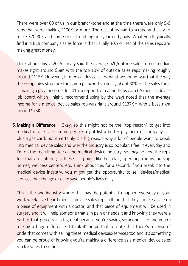There were over 60 of us in our branch/zone and at the time there were only 5-6 reps that were making \$100K or more. The rest of us had to scrape and claw to make \$70-80K and come close to hitting our year end goals. What you'll typically find in a B2B company's sales force is that usually 10% or less of the sales reps are making great money.

Think about this, a 2015 survey said the average b2b/outside sales rep or median makes right around \$68K with the top 10% of outside sales reps making roughly around \$115K. However, In medical device sales, what we found was that the way the companies structure the comp plan/perks, usually about 30% of the sales force is making a great income. In 2016, a report from a medreps.com ( A medical device job board which I highly recommend using by the way) noted that the average income for a medical device sales rep was right around  $$137K \sim$  with a base right around \$73K.

**6. Making a Difference** – Okay, so this might not be the "top reason" to get into medical device sales, some people might list a better paycheck or company car plus a gas card, but it certainly is a big reason why a lot of people want to break into medical device sales and why the industry is so popular. I feel it everyday and I'm on the recruiting side of the medical device industry, so imagine how the reps feel that are catering to these call points like hospitals, operating rooms, nursing homes, wellness centers, etc. Think about this for a second, if you break into the medical device industry, you might get the opportunity to sell devices/medical services that change or even save people's lives daily.

This is the one industry where that has the potential to happen everyday of your work week. I've heard medical device sales reps tell me that they'll make a sale on a piece of equipment with a doctor, and that piece of equipment will be used in surgery and it will help someone that's in pain or needs it and knowing they were a part of that process is a big deal because you're saving someone's life and you're making a huge difference. I think it's important to note that there's a sense of pride that comes with selling these medical devices/services too and it's something you can be proud of knowing you're making a difference as a medical device sales rep for years to come.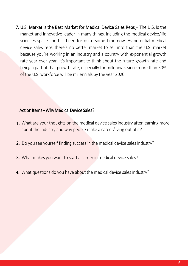7. U.S. Market is the Best Market for Medical Device Sales Reps – The U.S. is the market and innovative leader in many things, including the medical device/life sciences space and has been for quite some time now. As potential medical device sales reps, there's no better market to sell into than the U.S. market because you're working in an industry and a country with exponential growth rate year over year. It's important to think about the future growth rate and being a part of that growth rate, especially for millennials since more than 50% of the U.S. workforce will be millennials by the year 2020.

#### Action Items – Why Medical Device Sales?

- 1. What are your thoughts on the medical device sales industry after learning more about the industry and why people make a career/living out of it?
- 2. Do you see yourself finding success in the medical device sales industry?
- 3. What makes you want to start a career in medical device sales?
- 4. What questions do you have about the medical device sales industry?